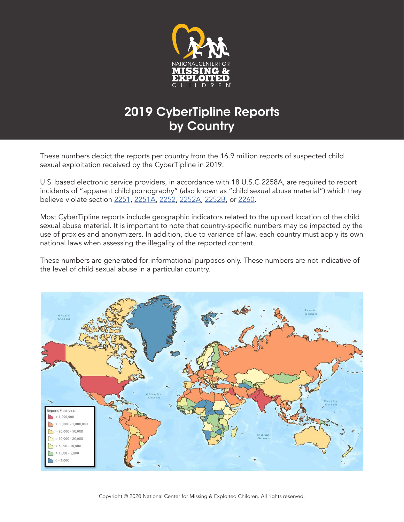

These numbers depict the reports per country from the 16.9 million reports of suspected child sexual exploitation received by the CyberTipline in 2019.

U.S. based electronic service providers, in accordance with 18 U.S.C 2258A, are required to report incidents of "apparent child pornography" (also known as "child sexual abuse material") which they believe violate section 2251, 2251A, 2252, 2252A, 2252B, or 2260.

Most CyberTipline reports include geographic indicators related to the upload location of the child sexual abuse material. It is important to note that country-specific numbers may be impacted by the use of proxies and anonymizers. In addition, due to variance of law, each country must apply its own national laws when assessing the illegality of the reported content.

These numbers are generated for informational purposes only. These numbers are not indicative of the level of child sexual abuse in a particular country.

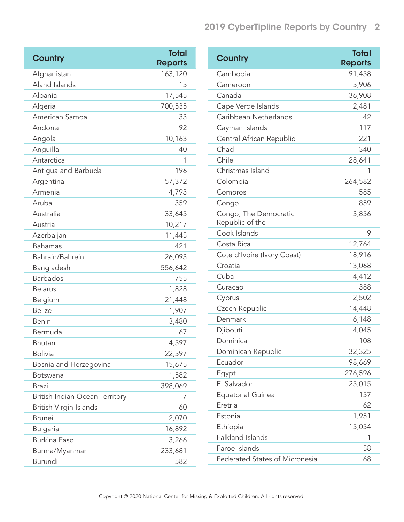| <b>Country</b>                 | <b>Total</b><br><b>Reports</b> |
|--------------------------------|--------------------------------|
| Afghanistan                    | 163,120                        |
| Aland Islands                  | 15                             |
| Albania                        | 17,545                         |
| Algeria                        | 700,535                        |
| American Samoa                 | 33                             |
| Andorra                        | 92                             |
| Angola                         | 10,163                         |
| Anguilla                       | 40                             |
| Antarctica                     | 1                              |
| Antigua and Barbuda            | 196                            |
| Argentina                      | 57,372                         |
| Armenia                        | 4,793                          |
| Aruba                          | 359                            |
| Australia                      | 33,645                         |
| Austria                        | 10,217                         |
| Azerbaijan                     | 11,445                         |
| <b>Bahamas</b>                 | 421                            |
| Bahrain/Bahrein                | 26,093                         |
| Bangladesh                     | 556,642                        |
| <b>Barbados</b>                | 755                            |
| <b>Belarus</b>                 | 1,828                          |
| Belgium                        | 21,448                         |
| <b>Belize</b>                  | 1,907                          |
| <b>Benin</b>                   | 3,480                          |
| Bermuda                        | 67                             |
| Bhutan                         | 4,597                          |
| <b>Bolivia</b>                 | 22,597                         |
| Bosnia and Herzegovina         | 15,675                         |
| Botswana                       | 1,582                          |
| <b>Brazil</b>                  | 398,069                        |
| British Indian Ocean Territory | 7                              |
| British Virgin Islands         | 60                             |
| <b>Brunei</b>                  | 2,070                          |
| <b>Bulgaria</b>                | 16,892                         |
| <b>Burkina Faso</b>            | 3,266                          |
| Burma/Myanmar                  | 233,681                        |
| Burundi                        | 582                            |

| Country                                  | <b>Total</b>   |
|------------------------------------------|----------------|
|                                          | <b>Reports</b> |
| Cambodia                                 | 91,458         |
| Cameroon                                 | 5,906          |
| Canada                                   | 36,908         |
| Cape Verde Islands                       | 2,481          |
| Caribbean Netherlands                    | 42             |
| Cayman Islands                           | 117            |
| Central African Republic                 | 221            |
| Chad                                     | 340            |
| Chile                                    | 28,641         |
| Christmas Island                         | 1              |
| Colombia                                 | 264,582        |
| Comoros                                  | 585            |
| Congo                                    | 859            |
| Congo, The Democratic<br>Republic of the | 3,856          |
| Cook Islands                             | 9              |
| Costa Rica                               | 12,764         |
| Cote d'Ivoire (Ivory Coast)              | 18,916         |
| Croatia                                  | 13,068         |
| Cuba                                     | 4,412          |
| Curacao                                  | 388            |
| Cyprus                                   | 2,502          |
| Czech Republic                           | 14,448         |
| Denmark                                  | 6,148          |
| Djibouti                                 | 4,045          |
| Dominica                                 | 108            |
| Dominican Republic                       | 32,325         |
| Ecuador                                  | 98,669         |
| Egypt                                    | 276,596        |
| El Salvador                              | 25,015         |
| <b>Equatorial Guinea</b>                 | 157            |
| Eretria                                  | 62             |
| Estonia                                  | 1,951          |
| Ethiopia                                 | 15,054         |
| <b>Falkland Islands</b>                  | 1              |
| Faroe Islands                            | 58             |
| <b>Federated States of Micronesia</b>    | 68             |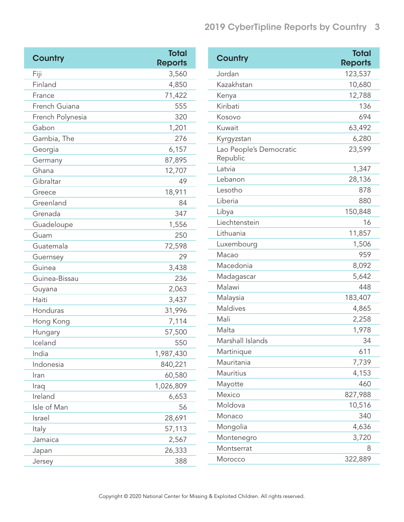| Country          | <b>Total</b><br><b>Reports</b> |  |
|------------------|--------------------------------|--|
| Fiji             | 3,560                          |  |
| Finland          | 4,850                          |  |
| France           | 71,422                         |  |
| French Guiana    | 555                            |  |
| French Polynesia | 320                            |  |
| Gabon            | 1,201                          |  |
| Gambia, The      | 276                            |  |
| Georgia          | 6,157                          |  |
| Germany          | 87,895                         |  |
| Ghana            | 12,707                         |  |
| Gibraltar        | 49                             |  |
| Greece           | 18,911                         |  |
| Greenland        | 84                             |  |
| Grenada          | 347                            |  |
| Guadeloupe       | 1,556                          |  |
| Guam             | 250                            |  |
| Guatemala        | 72,598                         |  |
| Guernsey         | 29                             |  |
| Guinea           | 3,438                          |  |
| Guinea-Bissau    | 236                            |  |
| Guyana           | 2,063                          |  |
| Haiti            | 3,437                          |  |
| Honduras         | 31,996                         |  |
| Hong Kong        | 7,114                          |  |
| Hungary          | 57,500                         |  |
| Iceland          | 550                            |  |
| India            | 1,987,430                      |  |
| Indonesia        | 840,221                        |  |
| Iran             | 60,580                         |  |
| Iraq             | 1,026,809                      |  |
| Ireland          | 6,653                          |  |
| Isle of Man      | 56                             |  |
| Israel           | 28,691                         |  |
| Italy            | 57,113                         |  |
| Jamaica          | 2,567                          |  |
| Japan            | 26,333                         |  |
| Jersey           | 388                            |  |

| Country                             | <b>Total</b>   |
|-------------------------------------|----------------|
|                                     | <b>Reports</b> |
| Jordan                              | 123,537        |
| Kazakhstan                          | 10,680         |
| Kenya                               | 12,788         |
| Kiribati                            | 136            |
| Kosovo                              | 694            |
| Kuwait                              | 63,492         |
| Kyrgyzstan                          | 6,280          |
| Lao People's Democratic<br>Republic | 23,599         |
| Latvia                              | 1,347          |
| Lebanon                             | 28,136         |
| Lesotho                             | 878            |
| Liberia                             | 880            |
| Libya                               | 150,848        |
| Liechtenstein                       | 16             |
| Lithuania                           | 11,857         |
| Luxembourg                          | 1,506          |
| Macao                               | 959            |
| Macedonia                           | 8,092          |
| Madagascar                          | 5,642          |
| Malawi                              | 448            |
| Malaysia                            | 183,407        |
| <b>Maldives</b>                     | 4,865          |
| Mali                                | 2,258          |
| Malta                               | 1,978          |
| Marshall Islands                    | 34             |
| Martinique                          | 611            |
| Mauritania                          | 7,739          |
| <b>Mauritius</b>                    | 4,153          |
| Mayotte                             | 460            |
| Mexico                              | 827,988        |
| Moldova                             | 10,516         |
| Monaco                              | 340            |
| Mongolia                            | 4,636          |
| Montenegro                          | 3,720          |
| Montserrat                          | 8              |
| Morocco                             | 322,889        |
|                                     |                |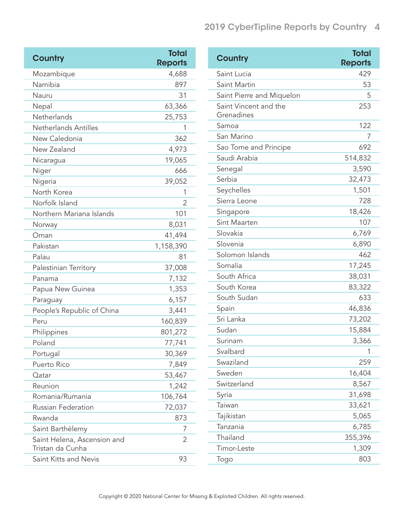| Country                                         | <b>Total</b><br><b>Reports</b> |
|-------------------------------------------------|--------------------------------|
| Mozambique                                      | 4,688                          |
| Namibia                                         | 897                            |
| Nauru                                           | 31                             |
| Nepal                                           | 63,366                         |
| Netherlands                                     | 25,753                         |
| Netherlands Antilles                            | 1                              |
| New Caledonia                                   | 362                            |
| New Zealand                                     | 4,973                          |
| Nicaragua                                       | 19,065                         |
| Niger                                           | 666                            |
| Nigeria                                         | 39,052                         |
| North Korea                                     | 1                              |
| Norfolk Island                                  | 2                              |
| Northern Mariana Islands                        | 101                            |
| Norway                                          | 8,031                          |
| Oman                                            | 41,494                         |
| Pakistan                                        | 1,158,390                      |
| Palau                                           | 81                             |
| Palestinian Territory                           | 37,008                         |
| Panama                                          | 7,132                          |
| Papua New Guinea                                | 1,353                          |
| Paraguay                                        | 6,157                          |
| People's Republic of China                      | 3,441                          |
| Peru                                            | 160,839                        |
| Philippines                                     | 801,272                        |
| Poland                                          | 77,741                         |
| Portugal                                        | 30,369                         |
| Puerto Rico                                     | 7,849                          |
| Qatar                                           | 53,467                         |
| Reunion                                         | 1,242                          |
| Romania/Rumania                                 | 106,764                        |
| <b>Russian Federation</b>                       | 72,037                         |
| Rwanda                                          | 873                            |
| Saint Barthélemy                                | 7                              |
| Saint Helena, Ascension and<br>Tristan da Cunha | 2                              |
| Saint Kitts and Nevis                           | 93                             |

| Country                             | <b>Total</b><br><b>Reports</b> |
|-------------------------------------|--------------------------------|
| Saint Lucia                         | 429                            |
| Saint Martin                        | 53                             |
| Saint Pierre and Miquelon           | 5                              |
| Saint Vincent and the<br>Grenadines | 253                            |
| Samoa                               | 122                            |
| San Marino                          | 7                              |
| Sao Tome and Principe               | 692                            |
| Saudi Arabia                        | 514,832                        |
| Senegal                             | 3,590                          |
| Serbia                              | 32,473                         |
| Seychelles                          | 1,501                          |
| Sierra Leone                        | 728                            |
| Singapore                           | 18,426                         |
| Sint Maarten                        | 107                            |
| Slovakia                            | 6,769                          |
| Slovenia                            | 6,890                          |
| Solomon Islands                     | 462                            |
| Somalia                             | 17,245                         |
| South Africa                        | 38,031                         |
| South Korea                         | 83,322                         |
| South Sudan                         | 633                            |
| Spain                               | 46,836                         |
| Sri Lanka                           | 73,202                         |
| Sudan                               | 15,884                         |
| Surinam                             | 3,366                          |
| Svalbard                            | 1                              |
| Swaziland                           | 259                            |
| Sweden                              | 16,404                         |
| Switzerland                         | 8,567                          |
| Syria                               | 31,698                         |
| Taiwan                              | 33,621                         |
| Tajikistan                          | 5,065                          |
| Tanzania                            | 6,785                          |
| Thailand                            | 355,396                        |
| Timor-Leste                         | 1,309                          |
| Togo                                | 803                            |